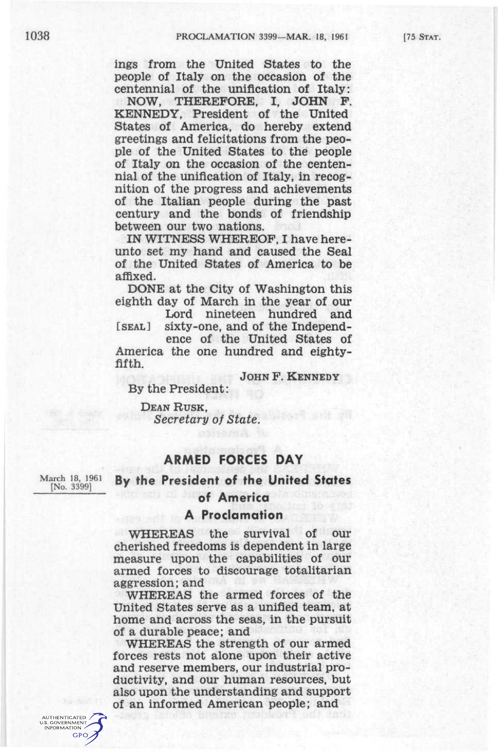ings from the United States to the people of Italy on the occasion of the centennial of the unification of Italy:

NOW, THEREFORE, I, JOHN P. KENNEDY, President of the United States of America, do hereby extend greetings and felicitations from the people of the United States to the people of Italy on the occasion of the centennial of the unification of Italy, in recognition of the progress and achievements of the Italian people during the past century and the bonds of friendship between our two nations.

IN WITNESS WHEREOF, I have hereunto set my hand and caused the Seal of the United States of America to be affixed.

DONE at the City of Washington this eighth day of March in the year of our

Lord nineteen hundred and [SEAL] sixty-one, and of the Independ-

ence of the United States of America the one hundred and eightyfifth.

JOHN F. KENNEDY

By the President:

DEAN RUSK, *Secretary of State.* 

### **ARMED FORCES DAY**

March 18, 1961 **By the President of the United States** 

#### **of America**

### **A Proclamation**

WHEREAS the survival of our cherished freedoms is dependent in large measure upon the capabilities of our armed forces to discourage totalitarian aggression; and

WHEREAS the armed forces of the United States serve as a unified team, at home and across the seas, in the pursuit of a durable peace: and

WHEREAS the strength of our armed forces rests not alone upon their active and reserve members, our industrial productivity, and our human resources, but also upon the understanding and support of an informed American people; and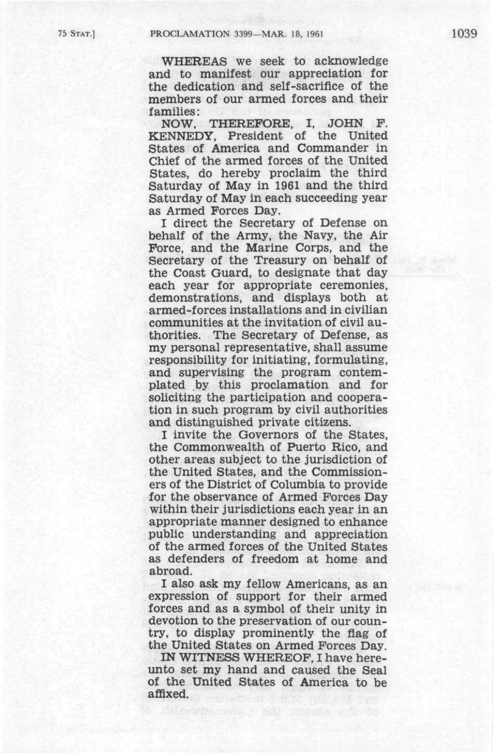WHEREAS we seek to acknowledge and to manifest our appreciation for the dedication and self-sacrifice of the members of our armed forces and their families:

NOW. THEREFORE, I. JOHN P. KENNEDY, President of the United States of America and Commander in Chief of the armed forces of the United States, do hereby proclaim the third Saturday of May in 1961 and the third Saturday of May in each succeeding year as Armed Forces Day.

I direct the Secretary of Defense on behalf of the Army, the Navy, the Air Force, and the Marine Corps, and the Secretary of the Treasury on behalf of the Coast Guard, to designate that day each year for appropriate ceremonies, demonstrations, and displays both at armed-forces installations and in civilian communities at the invitation of civil authorities. The Secretary of Defense, as my personal representative, shall assume responsibility for initiating, formulating, and supervising the program contemplated by this proclamation and for soliciting the participation and cooperation in such program by civil authorities and distinguished private citizens.

I invite the Governors of the States, the Commonwealth of Puerto Rico, and other areas subject to the jurisdiction of the United States, and the Commissioners of the District of Columbia to provide for the observance of Armed Forces Day within their jurisdictions each year in an appropriate manner designed to enhance public understanding and appreciation of the armed forces of the United States as defenders of freedom at home and abroad.

I also ask my fellow Americans, as an expression of support for their armed forces and as a symbol of their unity in devotion to the preservation of our country, to display prominently the flag of the United States on Armed Forces Day.

IN WITNESS WHEREOF, I have hereunto set my hand and caused the Seal of the United States of America to be affixed.